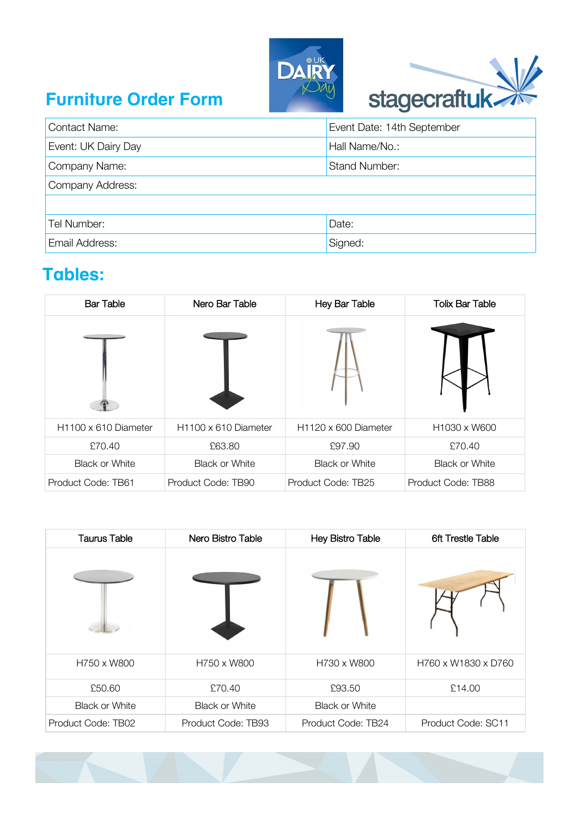





| <b>Contact Name:</b> | Event Date: 14th September |  |
|----------------------|----------------------------|--|
| Event: UK Dairy Day  | Hall Name/No.:             |  |
| Company Name:        | <b>Stand Number:</b>       |  |
| Company Address:     |                            |  |
|                      |                            |  |
| Tel Number:          | Date:                      |  |
| Email Address:       | Signed:                    |  |

#### **Tables:**

| <b>Bar Table</b>                 | Nero Bar Table                   | Hey Bar Table                    | <b>Tolix Bar Table</b>               |
|----------------------------------|----------------------------------|----------------------------------|--------------------------------------|
|                                  |                                  |                                  |                                      |
| H <sub>1100</sub> x 610 Diameter | H <sub>1100</sub> x 610 Diameter | H <sub>1120</sub> x 600 Diameter | H <sub>1030</sub> x W <sub>600</sub> |
| £70.40                           | £63.80                           | £97.90                           | £70.40                               |
| <b>Black or White</b>            | <b>Black or White</b>            | <b>Black or White</b>            | <b>Black or White</b>                |
| Product Code: TB61               | Product Code: TB90               | Product Code: TB25               | Product Code: TB88                   |

| <b>Taurus Table</b>   | Nero Bistro Table     | <b>Hey Bistro Table</b> | <b>6ft Trestle Table</b> |
|-----------------------|-----------------------|-------------------------|--------------------------|
|                       |                       |                         |                          |
| H750 x W800           | H750 x W800           | H730 x W800             | H760 x W1830 x D760      |
| £50.60                | £70.40                | £93.50                  | £14.00                   |
| <b>Black or White</b> | <b>Black or White</b> | <b>Black or White</b>   |                          |
| Product Code: TB02    | Product Code: TB93    | Product Code: TB24      | Product Code: SC11       |

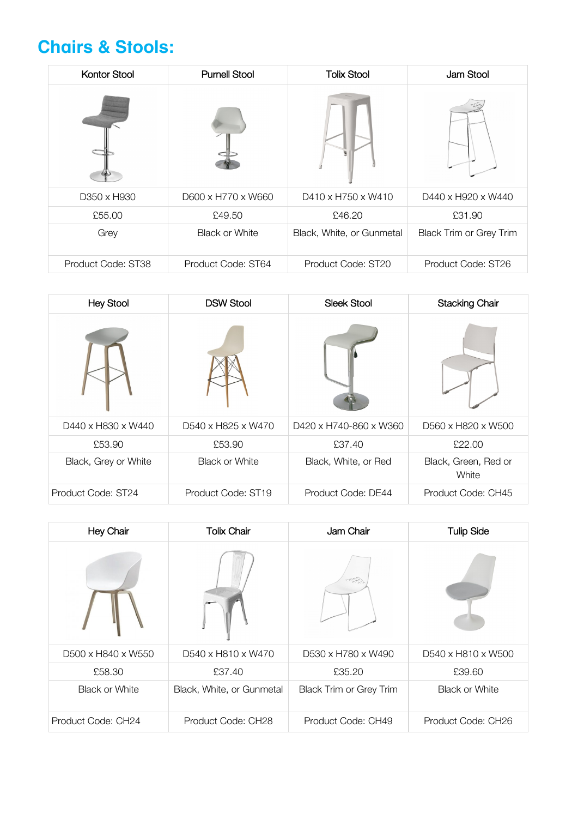#### **Chairs & Stools:**

| <b>Kontor Stool</b> | <b>Purnell Stool</b>  | <b>Tolix Stool</b>        | Jam Stool                      |
|---------------------|-----------------------|---------------------------|--------------------------------|
|                     |                       |                           |                                |
| D350 x H930         | D600 x H770 x W660    | D410 x H750 x W410        | D440 x H920 x W440             |
| £55.00              | £49.50                | £46.20                    | £31.90                         |
| Grey                | <b>Black or White</b> | Black, White, or Gunmetal | <b>Black Trim or Grey Trim</b> |
| Product Code: ST38  | Product Code: ST64    | Product Code: ST20        | Product Code: ST26             |

| <b>Hey Stool</b>     | <b>DSW Stool</b>      | <b>Sleek Stool</b>     | <b>Stacking Chair</b>         |
|----------------------|-----------------------|------------------------|-------------------------------|
|                      |                       |                        |                               |
| D440 x H830 x W440   | D540 x H825 x W470    | D420 x H740-860 x W360 | D560 x H820 x W500            |
| £53.90               | £53.90                | £37.40                 | £22.00                        |
| Black, Grey or White | <b>Black or White</b> | Black, White, or Red   | Black, Green, Red or<br>White |
| Product Code: ST24   | Product Code: ST19    | Product Code: DE44     | Product Code: CH45            |

| Hey Chair             | <b>Tolix Chair</b>        | Jam Chair                      | <b>Tulip Side</b>     |
|-----------------------|---------------------------|--------------------------------|-----------------------|
|                       |                           |                                |                       |
| D500 x H840 x W550    | D540 x H810 x W470        | D530 x H780 x W490             | D540 x H810 x W500    |
| £58.30                | £37.40                    | £35.20                         | £39.60                |
| <b>Black or White</b> | Black, White, or Gunmetal | <b>Black Trim or Grey Trim</b> | <b>Black or White</b> |
| Product Code: CH24    | Product Code: CH28        | Product Code: CH49             | Product Code: CH26    |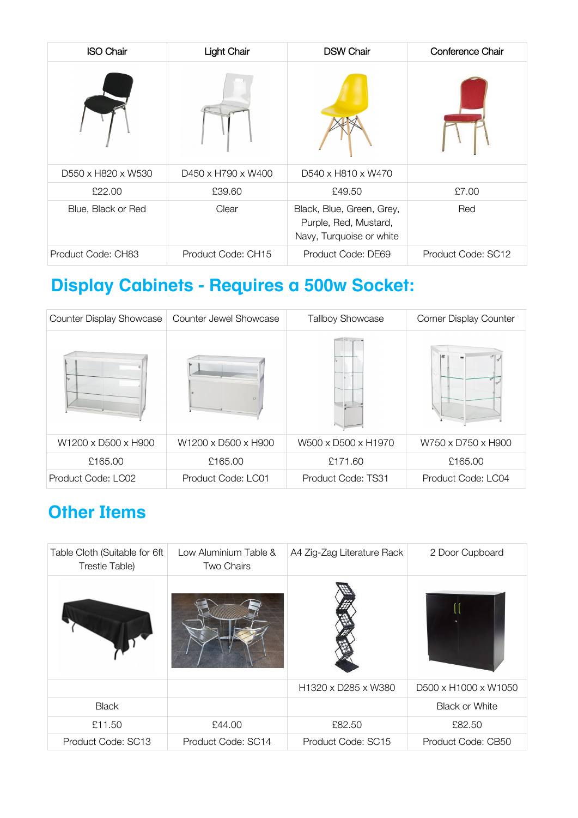| <b>ISO Chair</b>   | <b>Light Chair</b> | <b>DSW Chair</b>                                                               | Conference Chair   |
|--------------------|--------------------|--------------------------------------------------------------------------------|--------------------|
|                    |                    |                                                                                |                    |
| D550 x H820 x W530 | D450 x H790 x W400 | D540 x H810 x W470                                                             |                    |
| £22.00             | £39.60             | £49.50                                                                         | £7.00              |
| Blue, Black or Red | Clear              | Black, Blue, Green, Grey,<br>Purple, Red, Mustard,<br>Navy, Turquoise or white | Red                |
| Product Code: CH83 | Product Code: CH15 | Product Code: DE69                                                             | Product Code: SC12 |

## **Display Cabinets - Requires a 500w Socket:**

| <b>Counter Display Showcase</b> | Counter Jewel Showcase | <b>Tallboy Showcase</b> | <b>Corner Display Counter</b> |
|---------------------------------|------------------------|-------------------------|-------------------------------|
|                                 | e.                     |                         |                               |
| W1200 x D500 x H900             | W1200 x D500 x H900    | W500 x D500 x H1970     | W750 x D750 x H900            |
| £165.00                         | £165.00                | £171.60                 | £165.00                       |
| Product Code: LC02              | Product Code: LC01     | Product Code: TS31      | Product Code: LC04            |

## **Other Items**

| Table Cloth (Suitable for 6ft<br>Trestle Table) | Low Aluminium Table &<br>Two Chairs | A4 Zig-Zag Literature Rack | 2 Door Cupboard       |
|-------------------------------------------------|-------------------------------------|----------------------------|-----------------------|
|                                                 |                                     |                            |                       |
|                                                 |                                     | H1320 x D285 x W380        | D500 x H1000 x W1050  |
| <b>Black</b>                                    |                                     |                            | <b>Black or White</b> |
| £11.50                                          | £44.00                              | £82.50                     | £82.50                |
| Product Code: SC13                              | Product Code: SC14                  | Product Code: SC15         | Product Code: CB50    |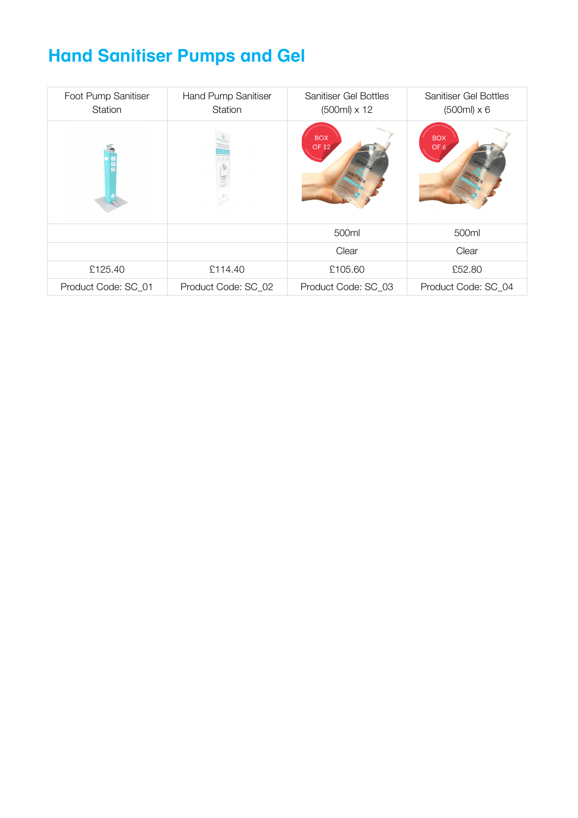# **Hand Sanitiser Pumps and Gel**

| Foot Pump Sanitiser<br>Station | Hand Pump Sanitiser<br>Station | <b>Sanitiser Gel Bottles</b><br>$(500ml) \times 12$ | <b>Sanitiser Gel Bottles</b><br>$(500ml) \times 6$ |
|--------------------------------|--------------------------------|-----------------------------------------------------|----------------------------------------------------|
|                                |                                | <b>BOX</b><br><b>OF 12</b>                          | <b>BOX</b><br>OF 6                                 |
|                                |                                | 500ml                                               | 500ml                                              |
|                                |                                | Clear                                               | Clear                                              |
| £125.40                        | £114.40                        | £105.60                                             | £52.80                                             |
| Product Code: SC_01            | Product Code: SC_02            | Product Code: SC 03                                 | Product Code: SC_04                                |